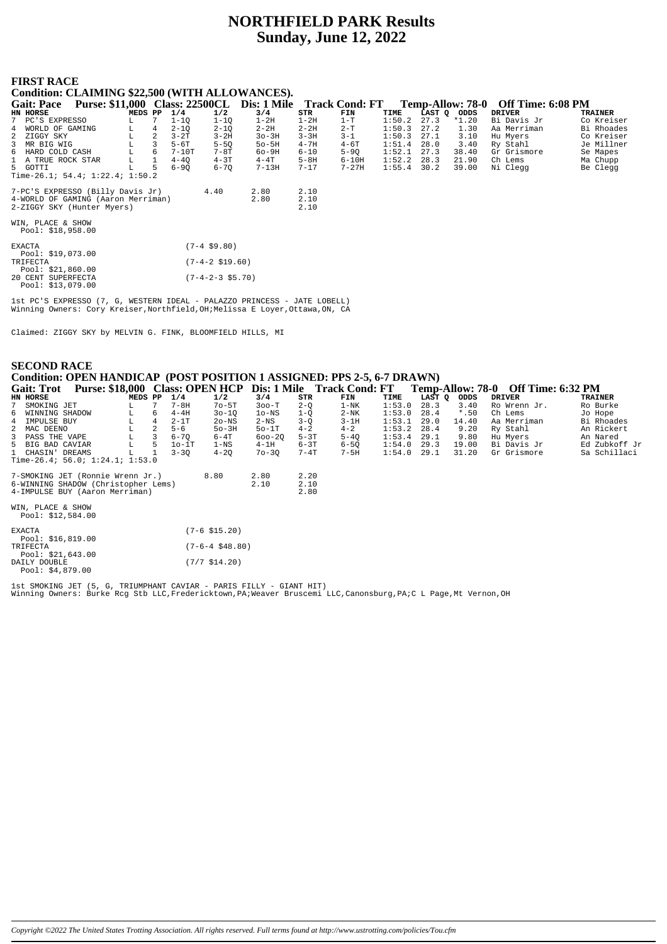# **NORTHFIELD PARK Results Sunday, June 12, 2022**

#### **FIRST RACE** <u>ה:ר</u>

| 1 1110 1 111 1010                               |         |   |          |                 |                            |          |           |        |        |                  |                   |                |
|-------------------------------------------------|---------|---|----------|-----------------|----------------------------|----------|-----------|--------|--------|------------------|-------------------|----------------|
| Condition: CLAIMING \$22,500 (WITH ALLOWANCES). |         |   |          |                 |                            |          |           |        |        |                  |                   |                |
| Gait: Pace Purse: \$11,000 Class: 22500CL       |         |   |          |                 | Dis: 1 Mile Track Cond: FT |          |           |        |        | Temp-Allow: 78-0 | Off Time: 6:08 PM |                |
| HN HORSE                                        | MEDS PP |   | 1/4      | 1/2             | 3/4                        | STR      | FIN       | TIME   | LAST Q | ODDS             | <b>DRIVER</b>     | <b>TRAINER</b> |
| 7 PC'S EXPRESSO                                 |         | 7 | $1 - 10$ | $1 - 10$        | $1-2H$                     | $1-2H$   | $1-T$     | 1:50.2 | 27.3   | *1.20            | Bi Davis Jr       | Co Kreiser     |
| WORLD OF GAMING<br>$4^{\circ}$                  | L       | 4 | $2 - 10$ | $2 - 10$        | $2 - 2H$                   | $2 - 2H$ | $2-T$     | 1:50.3 | 27.2   | 1.30             | Aa Merriman       | Bi Rhoades     |
| 2<br>ZIGGY SKY                                  | L       | 2 | $3-2T$   | $3 - 2H$        | $30-3H$                    | $3 - 3H$ | $3 - 1$   | 1:50.3 | 27.1   | 3.10             | Hu Myers          | Co Kreiser     |
| 3 MR BIG WIG                                    |         | 3 | $5-6T$   | $5 - 50$        | $50 - 5H$                  | $4 - 7H$ | $4-6T$    | 1:51.4 | 28.0   | 3.40             | Ry Stahl          | Je Millner     |
| 6 HARD COLD CASH                                |         | 6 | $7-10T$  | $7-8T$          | $60-9H$                    | $6 - 10$ | $5-9Q$    | 1:52.1 | 27.3   | 38.40            | Gr Grismore       | Se Mapes       |
| 1 A TRUE ROCK STAR                              | г       |   | $4 - 40$ | $4-3T$          | $4-4T$                     | $5 - 8H$ | $6-10H$   | 1:52.2 | 28.3   | 21.90            | Ch Lems           | Ma Chupp       |
| 5 GOTTI                                         | L       | 5 | $6 - 90$ | $6 - 70$        | $7-13H$                    | $7 - 17$ | $7 - 27H$ | 1:55.4 | 30.2   | 39.00            | Ni Clegg          | Be Clegg       |
| Time-26.1; 54.4; $1:22.4$ ; $1:50.2$            |         |   |          |                 |                            |          |           |        |        |                  |                   |                |
| 7-PC'S EXPRESSO (Billy Davis Jr)                |         |   |          | 4.40            | 2.80                       | 2.10     |           |        |        |                  |                   |                |
| 4-WORLD OF GAMING (Aaron Merriman)              |         |   |          |                 | 2.80                       | 2.10     |           |        |        |                  |                   |                |
| 2-ZIGGY SKY (Hunter Myers)                      |         |   |          |                 |                            | 2.10     |           |        |        |                  |                   |                |
| WIN, PLACE & SHOW<br>Pool: \$18,958.00          |         |   |          |                 |                            |          |           |        |        |                  |                   |                |
| <b>EXACTA</b><br>Pool: $$19,073.00$             |         |   |          | $(7-4 \ $9.80)$ |                            |          |           |        |        |                  |                   |                |
| TRIFECTA                                        |         |   |          | (7-4-2 \$19.60) |                            |          |           |        |        |                  |                   |                |

Pool: \$21,860.00<br>20 CENT SUPERFECTA<br>Pool: \$13,079.00  $(7-4-2-3$ \$5.70)

lst PC'S EXPRESSO (7, G, WESTERN IDEAL - PALAZZO PRINCESS - JATE LOBELL)<br>Winning Owners: Cory Kreiser, Northfield, OH; Melissa E Loyer, Ottawa, ON, CA

Claimed: ZIGGY SKY by MELVIN G. FINK, BLOOMFIELD HILLS, MI

### **SECOND RACE** Condition: OPEN HANDICAP (POST POSITION 1 ASSIGNED: PPS 2-5, 6-7 DRAWN) Gait: Trof Purse: \$18,000 Class: OPEN HCP Dis: 1 Mile Track Cond: FT Temp-Allow: 78-0 Off Time: 6:32 PM

|   | <b>JULIE LIVE</b>                       | Turst, project Chass, Of Electric   |         |                |          |                          |                 |          | $P101$ , $P1111$ , $P1111$ , $P1111$ , $P1111$ |        |        |         |              |               |
|---|-----------------------------------------|-------------------------------------|---------|----------------|----------|--------------------------|-----------------|----------|------------------------------------------------|--------|--------|---------|--------------|---------------|
|   | HN HORSE                                |                                     | MEDS PP |                | 1/4      | 1/2                      | 3/4             | STR      | FIN                                            | TIME   | LAST Q | ODDS    | DRIVER       | TRAINER       |
| 7 | SMOKING JET                             |                                     | L.      |                | $7 - 8H$ | $7o-5T$                  | $300-T$         | $2 - 0$  | $1-NK$                                         | 1:53.0 | 28.3   | 3.40    | Ro Wrenn Jr. | Ro Burke      |
|   | 6 WINNING SHADOW                        |                                     | L       | 6              | $4-4H$   | $30 - 10$                | $10-NS$         | $1 - 0$  | $2-NK$                                         | 1:53.0 | 28.4   | $*$ .50 | Ch Lems      | Jo Hope       |
|   | 4 IMPULSE BUY                           |                                     | г       | $\overline{4}$ | $2-1T$   | 2o-NS                    | $2-\mathrm{NS}$ | $3-Q$    | $3-1H$                                         | 1:53.1 | 29.0   | 14.40   | Aa Merriman  | Bi Rhoades    |
|   | 2 MAC DEENO                             |                                     | L       | 2.             | $5 - 6$  | $50-3H$                  | $50-1T$         | $4 - 2$  | $4 - 2$                                        | 1:53.2 | 28.4   | 9.20    | Ry Stahl     | An Rickert    |
|   | 3 PASS THE VAPE                         |                                     | L       |                | $6 - 70$ | $6-4T$                   | $600 - 20$      | $5-3T$   | $5 - 40$                                       | 1:53.4 | 29.1   | 9.80    | Hu Myers     | An Nared      |
|   | 5 BIG BAD CAVIAR                        |                                     | L       | 5.             | $10-1T$  | $1 - NS$                 | $4-1H$          | $6 - 3T$ | $6 - 5Q$                                       | 1:54.0 | 29.3   | 19.00   | Bi Davis Jr  | Ed Zubkoff Jr |
|   | 1 CHASIN' DREAMS                        |                                     | L       |                | $3 - 30$ | $4 - 20$                 | $70 - 30$       | 7-4T     | 7-5H                                           | 1:54.0 | 29.1   | 31.20   | Gr Grismore  | Sa Schillaci  |
|   |                                         | Time-26.4; 56.0; $1:24.1; 1:53.0$   |         |                |          |                          |                 |          |                                                |        |        |         |              |               |
|   |                                         | 7-SMOKING JET (Ronnie Wrenn Jr.)    |         |                |          | 8.80                     | 2.80            | 2.20     |                                                |        |        |         |              |               |
|   |                                         | 6-WINNING SHADOW (Christopher Lems) |         |                |          |                          | 2.10            | 2.10     |                                                |        |        |         |              |               |
|   |                                         | 4-IMPULSE BUY (Aaron Merriman)      |         |                |          |                          |                 | 2.80     |                                                |        |        |         |              |               |
|   | WIN, PLACE & SHOW<br>Pool: $$12,584.00$ |                                     |         |                |          |                          |                 |          |                                                |        |        |         |              |               |
|   | <b>EXACTA</b><br>Pool: $$16,819.00$     |                                     |         |                |          | $(7-6 \; \text{S15.20})$ |                 |          |                                                |        |        |         |              |               |
|   | TRIFECTA<br>Pool: $$21,643.00$          |                                     |         |                |          | $(7-6-4 \ $48.80)$       |                 |          |                                                |        |        |         |              |               |
|   | DAILY DOUBLE                            |                                     |         |                |          | $(7/7 \; \text{S}14.20)$ |                 |          |                                                |        |        |         |              |               |

Pool:  $$4,879.00$ 

lst SMOKING JET (5, G, TRIUMPHANT CAVIAR - PARIS FILLY - GIANT HIT)<br>Winning Owners: Burke Rcg Stb LLC,Fredericktown,PA;Weaver Bruscemi LLC,Canonsburg,PA;C L Page,Mt Vernon,OH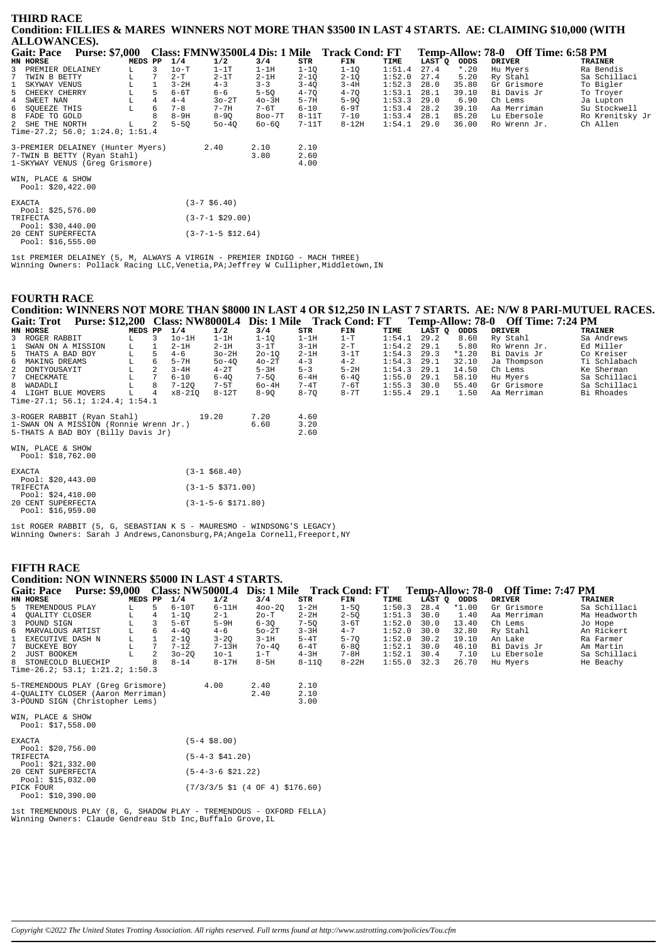| THIRD RACE                                                                                            |                    |   |          |                            |            |          |                                              |        |        |         |                                    |                 |
|-------------------------------------------------------------------------------------------------------|--------------------|---|----------|----------------------------|------------|----------|----------------------------------------------|--------|--------|---------|------------------------------------|-----------------|
| Condition: FILLIES & MARES WINNERS NOT MORE THAN \$3500 IN LAST 4 STARTS. AE: CLAIMING \$10,000 (WITH |                    |   |          |                            |            |          |                                              |        |        |         |                                    |                 |
| <b>ALLOWANCES).</b>                                                                                   |                    |   |          |                            |            |          |                                              |        |        |         |                                    |                 |
| <b>Gait: Pace</b><br><b>Purse: \$7,000</b>                                                            |                    |   |          |                            |            |          | Class: FMNW3500L4 Dis: 1 Mile Track Cond: FT |        |        |         | Temp-Allow: 78-0 Off Time: 6:58 PM |                 |
| HN HORSE                                                                                              | MEDS PP            |   | 1/4      | 1/2                        | 3/4        | STR      | FIN                                          | TIME   | LAST Q | ODDS    | <b>DRIVER</b>                      | <b>TRAINER</b>  |
| 3<br>PREMIER DELAINEY                                                                                 | L.                 | 3 | $1o-T$   | $1-1T$                     | $1-1H$     | $1 - 1Q$ | $1-1Q$                                       | 1:51.4 | 27.4   | $*$ .20 | Hu Myers                           | Ra Bendis       |
| TWIN B BETTY                                                                                          |                    |   | $2-T$    | $2-1T$                     | $2-1H$     | $2 - 1Q$ | $2 - 1Q$                                     | 1:52.0 | 27.4   | 5.20    | Ry Stahl                           | Sa Schillaci    |
| SKYWAY VENUS<br>$\mathbf{1}$                                                                          |                    |   | $3 - 2H$ | $4 - 3$                    | $3 - 3$    | $3 - 4Q$ | $3-4H$                                       | 1:52.3 | 28.0   | 35.80   | Gr Grismore                        | To Bigler       |
| 5<br>CHEEKY CHERRY                                                                                    | L                  |   | $6-6T$   | 6-6                        | $5-5Q$     | $4 - 7Q$ | $4 - 7Q$                                     | 1:53.1 | 28.1   | 39.10   | Bi Davis Jr                        | To Troyer       |
| 4<br>SWEET NAN                                                                                        | $^{\rm L}_{\rm L}$ |   | $4 - 4$  | $30-2T$                    | $40-3H$    | $5 - 7H$ | $5-9Q$                                       | 1:53.3 | 29.0   | 6.90    | Ch Lems                            | Ja Lupton       |
| 6<br>SOUEEZE THIS                                                                                     |                    | 6 | $7 - 8$  | $7 - 7H$                   | 7-6T       | $6 - 10$ | 6-9T                                         | 1:53.4 | 28.2   | 39.10   | Aa Merriman                        | Su Stockwell    |
| 8<br>FADE TO GOLD                                                                                     |                    |   | $8-9H$   | $8 - 90$                   | $800 - 7T$ | $8-11T$  | $7 - 10$                                     | 1:53.4 | 28.1   | 85.20   | Lu Ebersole                        | Ro Krenitsky Jr |
| 2 SHE THE NORTH                                                                                       | L                  |   | $5-5Q$   | $50 - 40$                  | 60-60      | $7-11T$  | $8-12H$                                      | 1:54.1 | 29.0   | 36.00   | Ro Wrenn Jr.                       | Ch Allen        |
| Time-27.2; 56.0; 1:24.0; 1:51.4                                                                       |                    |   |          |                            |            |          |                                              |        |        |         |                                    |                 |
| 3-PREMIER DELAINEY (Hunter Myers)                                                                     |                    |   |          | 2.40                       | 2.10       | 2.10     |                                              |        |        |         |                                    |                 |
| 7-TWIN B BETTY (Ryan Stahl)                                                                           |                    |   |          |                            | 3.80       | 2.60     |                                              |        |        |         |                                    |                 |
| 1-SKYWAY VENUS (Greq Grismore)                                                                        |                    |   |          |                            |            | 4.00     |                                              |        |        |         |                                    |                 |
| WIN, PLACE & SHOW                                                                                     |                    |   |          |                            |            |          |                                              |        |        |         |                                    |                 |
| Pool: $$20,422.00$                                                                                    |                    |   |          |                            |            |          |                                              |        |        |         |                                    |                 |
| <b>EXACTA</b>                                                                                         |                    |   |          | $(3-7, 56, 40)$            |            |          |                                              |        |        |         |                                    |                 |
| Pool: $$25,576.00$                                                                                    |                    |   |          |                            |            |          |                                              |        |        |         |                                    |                 |
| TRIFECTA                                                                                              |                    |   |          | $(3 - 7 - 1 \ $29.00)$     |            |          |                                              |        |        |         |                                    |                 |
| Pool: $$30,440.00$                                                                                    |                    |   |          |                            |            |          |                                              |        |        |         |                                    |                 |
| 20 CENT SUPERFECTA                                                                                    |                    |   |          | $(3 - 7 - 1 - 5 \ $12.64)$ |            |          |                                              |        |        |         |                                    |                 |
| Pool: $$16,555.00$                                                                                    |                    |   |          |                            |            |          |                                              |        |        |         |                                    |                 |

lst PREMIER DELAINEY (5, M, ALWAYS A VIRGIN - PREMIER INDIGO - MACH THREE)<br>Winning Owners: Pollack Racing LLC,Venetia,PA;Jeffrey W Cullipher,Middletown,IN

#### **FOURTH RACE**

Condition: WINNERS NOT MORE THAN \$8000 IN LAST 4 OR \$12,250 IN LAST 7 STARTS. AE: N/W 8 PARI-MUTUEL RACES. Gait: Trot Purse: \$12,200 Class: NW8000L4 Dis: 1 Mile Track Cond: FT Temp-Allow: 78-0 Off Time: 7:24 PM

| $       -$                      |         |   |           |           | $\sim$ $\sim$ $\sim$ $\sim$ $\sim$ $\sim$ |          |          |               |        |         |              |                |
|---------------------------------|---------|---|-----------|-----------|-------------------------------------------|----------|----------|---------------|--------|---------|--------------|----------------|
| HN HORSE                        | MEDS PP |   | 1/4       | 1/2       | 3/4                                       | STR      | FIN      | TIME          | LAST Q | ODDS    | DRIVER       | <b>TRAINER</b> |
| 3 ROGER RABBIT                  |         |   | $1o-1H$   | $1-1H$    | $1 - 10$                                  | $1-1H$   | $1-T$    | 1:54.1        | 29.2   | 8.60    | Ry Stahl     | Sa Andrews     |
| 1 SWAN ON A MISSION             | T.      |   | $2-1H$    | $2-1H$    | $3-1T$                                    | $3-1H$   | $2-T$    | 1:54.2        | 29.1   | 5.80    | Ro Wrenn Jr. | Ed Miller      |
| 5 THATS A BAD BOY               | L.      |   | $4 - 6$   | $3o-2H$   | $20 - 10$                                 | $2-1H$   | $3-1T$   | $1:54.3$ 29.3 |        | $*1.20$ | Bi Davis Jr  | Co Kreiser     |
| 6 MAKING DREAMS                 |         | 6 | $5-7H$    | $50 - 40$ | $40-2T$                                   | $4 - 3$  | $4 - 2$  | 1:54.3        | 29.1   | 32.10   | Ja Thompson  | Ti Schlabach   |
| 2 DONTYOUSAYIT                  |         |   | $3 - 4H$  | $4-2T$    | $5-3H$                                    | $5 - 3$  | $5-2H$   | 1:54.3        | 29.1   | 14.50   | Ch Lems      | Ke Sherman     |
| 7 CHECKMATE                     |         |   | $6 - 10$  | $6 - 40$  | $7 - 50$                                  | $6-4H$   | $6 - 40$ | 1:55.0        | 29.1   | 58.10   | Hu Mvers     | Sa Schillaci   |
| 8 WADADLI                       |         | 8 | $7 - 120$ | $7 - 5T$  | $60-4H$                                   | $7 - 4T$ | 7-6Т     | 1:55.3        | 30.0   | 55.40   | Gr Grismore  | Sa Schillaci   |
| 4 LIGHT BLUE MOVERS             | L       | 4 | x8-210    | $8-12T$   | $8 - 90$                                  | $8 - 70$ | $8-7T$   | $1:55.4$ 29.1 |        | 1.50    | Aa Merriman  | Bi Rhoades     |
| Time-27.1; 56.1; 1:24.4; 1:54.1 |         |   |           |           |                                           |          |          |               |        |         |              |                |

| 3-ROGER RABBIT (Rvan Stahl)<br>1-SWAN ON A MISSION (Ronnie Wrenn Jr.)<br>5-THATS A BAD BOY (Billy Davis Jr) | 19.20 | 7.20<br>6.60 | 4.60<br>3.20<br>2.60 |
|-------------------------------------------------------------------------------------------------------------|-------|--------------|----------------------|
| WIN. PLACE & SHOW                                                                                           |       |              |                      |

| MIN, LUUCT & DUNM |                   |  |  |
|-------------------|-------------------|--|--|
|                   | Pool: \$18,762.00 |  |  |

| <b>EXACTA</b>      | $(3-1, 568.40)$              |
|--------------------|------------------------------|
| Pool: $$20,443.00$ |                              |
| TRIFECTA           | $(3-1-5 \text{ } $371.00)$   |
| Pool: $$24.410.00$ |                              |
| 20 CENT SUPERFECTA | $(3-1-5-6 \text{ } $171.80)$ |
| Pool: $$16.959.00$ |                              |

lst ROGER RABBIT (5, G, SEBASTIAN K S - MAURESMO - WINDSONG'S LEGACY)<br>Winning Owners: Sarah J Andrews, Canonsburg, PA;Angela Cornell, Freeport, NY

### **FIFTH RACE**

|              | <b>Condition: NON WINNERS \$5000 IN LAST 4 STARTS.</b>                                                    |   |         |              |           |                |                                            |                      |           |        |             |         |                                    |              |
|--------------|-----------------------------------------------------------------------------------------------------------|---|---------|--------------|-----------|----------------|--------------------------------------------|----------------------|-----------|--------|-------------|---------|------------------------------------|--------------|
|              | <b>Purse: \$9,000</b><br><b>Gait: Pace</b>                                                                |   |         |              |           |                | Class: NW5000L4 Dis: 1 Mile Track Cond: FT |                      |           |        |             |         | Temp-Allow: 78-0 Off Time: 7:47 PM |              |
|              | HN HORSE                                                                                                  |   | MEDS PP |              | 1/4       | 1/2            | 3/4                                        | STR                  | FIN       | TIME   | LAST Q ODDS |         | <b>DRIVER</b>                      | TRAINER      |
|              | 5 TREMENDOUS PLAY                                                                                         |   |         | 5.           | $6-10T$   | $6-11H$        | $400 - 20$                                 | $1-2H$               | $1 - 50$  | 1:50.3 | 28.4        | $*1.00$ | Gr Grismore                        | Sa Schillaci |
|              | 4 OUALITY CLOSER                                                                                          | L |         | 4            | $1 - 10$  | $2 - 1$        | 20-T                                       | $2 - 2H$             | $2 - 50$  | 1:51.3 | 30.0        | 1.40    | Aa Merriman                        | Ma Headworth |
|              | 3 POUND SIGN                                                                                              | L |         |              | $5-6T$    | $5-9H$         | $6 - 30$                                   | $7 - 50$             | $3-6T$    | 1:52.0 | 30.0        | 13.40   | Ch Lems                            | Jo Hope      |
|              | 6 MARVALOUS ARTIST                                                                                        | L |         | 6            | $4 - 40$  | $4 - 6$        | $50-2T$                                    | $3 - 3H$             | $4 - 7$   | 1:52.0 | 30.0        | 32.80   | Ry Stahl                           | An Rickert   |
| $\mathbf{1}$ | EXECUTIVE DASH N                                                                                          | L |         | $\mathbf{1}$ | $2 - 10$  | $3 - 20$       | $3-1H$                                     | $5-4T$               | $5 - 70$  | 1:52.0 | 30.2        | 19.10   | An Lake                            | Ra Farmer    |
| 7            | BUCKEYE BOY                                                                                               | L |         | 7            | $7 - 12$  | $7-13H$        | $70 - 40$                                  | $6 - 4T$             | $6 - 8Q$  | 1:52.1 | 30.0        | 46.10   | Bi Davis Jr                        | Am Martin    |
|              | 2 JUST BOOKEM                                                                                             |   |         |              | $30 - 20$ | $10-1$         | $1-T$                                      | 4-3H                 | 7-8H      | 1:52.1 | 30.4        | 7.10    | Lu Ebersole                        | Sa Schillaci |
|              | 8 STONECOLD BLUECHIP                                                                                      |   |         |              | $8 - 14$  | $8-17H$        | $8-5H$                                     | $8 - 110$            | $8 - 22H$ | 1:55.0 | 32.3        | 26.70   | Hu Myers                           | He Beachy    |
|              | Time-26.2; $53.1; 1:21.2; 1:50.3$                                                                         |   |         |              |           |                |                                            |                      |           |        |             |         |                                    |              |
|              | 5-TREMENDOUS PLAY (Greq Grismore)<br>4-OUALITY CLOSER (Aaron Merriman)<br>3-POUND SIGN (Christopher Lems) |   |         |              |           | 4.00           | 2.40<br>2.40                               | 2.10<br>2.10<br>3.00 |           |        |             |         |                                    |              |
|              | WIN, PLACE & SHOW<br>Pool: $$17,558.00$                                                                   |   |         |              |           |                |                                            |                      |           |        |             |         |                                    |              |
|              | <b>EXACTA</b><br>Pool: $$20,756.00$                                                                       |   |         |              |           | $(5-4$ \$8.00) |                                            |                      |           |        |             |         |                                    |              |

| TRIFECTA           | $(5-4-3 \t541.20)$                                                           |  |  |  |  |  |  |  |  |
|--------------------|------------------------------------------------------------------------------|--|--|--|--|--|--|--|--|
| Pool: \$21,332.00  |                                                                              |  |  |  |  |  |  |  |  |
| 20 CENT SUPERFECTA | $(5-4-3-6 \text{ } $21.22)$                                                  |  |  |  |  |  |  |  |  |
| Pool: \$15,032.00  |                                                                              |  |  |  |  |  |  |  |  |
| PICK FOUR          | $(7/3/3/5 \text{ } 51 \text{ } (4 \text{ } 0F \text{ } 4) \text{ } $176.60)$ |  |  |  |  |  |  |  |  |
| Pool: $$10,390.00$ |                                                                              |  |  |  |  |  |  |  |  |

lst TREMENDOUS PLAY (8, G, SHADOW PLAY - TREMENDOUS - OXFORD FELLA)<br>Winning Owners: Claude Gendreau Stb Inc,Buffalo Grove,IL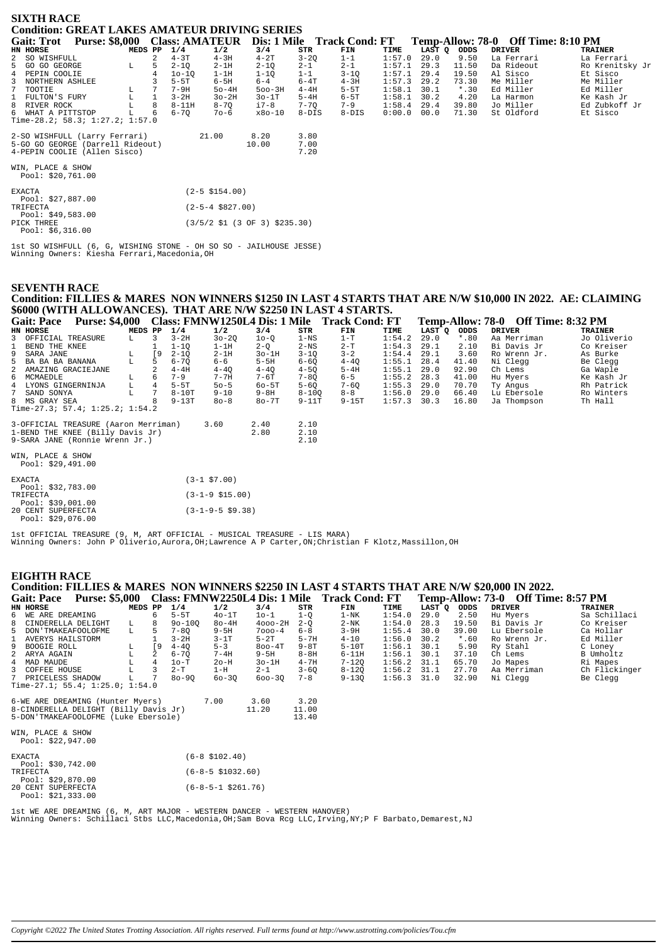| <b>SIXTH RACE</b><br><b>Condition: GREAT LAKES AMATEUR DRIVING SERIES</b>                         |         |              |           |                             |                                                                   |                      |                            |        |        |         |                                    |                 |
|---------------------------------------------------------------------------------------------------|---------|--------------|-----------|-----------------------------|-------------------------------------------------------------------|----------------------|----------------------------|--------|--------|---------|------------------------------------|-----------------|
| <b>Purse: \$8,000</b><br><b>Gait: Trot</b>                                                        |         |              |           | <b>Class: AMATEUR</b>       |                                                                   |                      | Dis: 1 Mile Track Cond: FT |        |        |         | Temp-Allow: 78-0 Off Time: 8:10 PM |                 |
| HN HORSE                                                                                          | MEDS PP |              | 1/4       | 1/2                         | 3/4                                                               | STR                  | FIN                        | TIME   | LAST O | ODDS    | <b>DRIVER</b>                      | <b>TRAINER</b>  |
| 2 SO WISHFULL                                                                                     |         | 2            | $4 - 3T$  | $4 - 3H$                    | $4-2T$                                                            | $3 - 2Q$             | $1 - 1$                    | 1:57.0 | 29.0   | 9.50    | La Ferrari                         | La Ferrari      |
| 5 GO GO GEORGE                                                                                    | L.      | 5            | $2 - 10$  | $2 - 1H$                    | $2 - 10$                                                          | $2 - 1$              | $2 - 1$                    | 1:57.1 | 29.3   | 11.50   | Da Rideout                         | Ro Krenitsky Jr |
| 4 PEPIN COOLIE                                                                                    |         |              | $10 - 10$ | $1-1H$                      | $1-1Q$                                                            | $1 - 1$              | $3 - 1Q$                   | 1:57.1 | 29.4   | 19.50   | Al Sisco                           | Et Sisco        |
| 3 NORTHERN ASHLEE                                                                                 |         |              | $5-5T$    | $6-5H$                      | $6 - 4$                                                           | $6 - 4T$             | $4-3H$                     | 1:57.3 | 29.2   | 73.30   | Me Miller                          | Me Miller       |
| TOOTIE<br>$7^{\circ}$                                                                             |         |              | $7 - 9H$  | $50-4H$                     | $500 - 3H$                                                        | $4-4H$               | $5-5T$                     | 1:58.1 | 30.1   | $*$ .30 | Ed Miller                          | Ed Miller       |
| $\mathbf{1}$<br>FULTON'S FURY                                                                     | L       | $\mathbf{1}$ | $3-2H$    | $3o-2H$                     | $30-1T$                                                           | $5-4H$               | $6-5T$                     | 1:58.1 | 30.2   | 4.20    | La Harmon                          | Ke Kash Jr      |
| 8 RIVER ROCK                                                                                      |         | 8            | $8-11H$   | $8 - 7Q$                    | i7-8                                                              | $7 - 70$             | $7 - 9$                    | 1:58.4 | 29.4   | 39.80   | Jo Miller                          | Ed Zubkoff Jr   |
| 6 WHAT A PITTSTOP<br>Time-28.2; 58.3; 1:27.2; 1:57.0                                              |         |              | $6 - 70$  | $70 - 6$                    | $x80-10$                                                          | $8-DIS$              | $8-DIS$                    | 0:00.0 | 00.0   | 71.30   | St Oldford                         | Et Sisco        |
| 2-SO WISHFULL (Larry Ferrari)<br>5-GO GO GEORGE (Darrell Rideout)<br>4-PEPIN COOLIE (Allen Sisco) |         |              |           | 21.00                       | 8.20<br>10.00                                                     | 3.80<br>7.00<br>7.20 |                            |        |        |         |                                    |                 |
| WIN, PLACE & SHOW<br>Pool: \$20,761.00                                                            |         |              |           |                             |                                                                   |                      |                            |        |        |         |                                    |                 |
| <b>EXACTA</b><br>Pool: \$27,887.00                                                                |         |              |           | $(2 - 5 \, \text{S}154.00)$ |                                                                   |                      |                            |        |        |         |                                    |                 |
| TRIFECTA<br>Pool: $$49,583.00$                                                                    |         |              |           | $(2 - 5 - 4 \ $827.00)$     |                                                                   |                      |                            |        |        |         |                                    |                 |
| PICK THREE<br>Pool: $$6,316.00$                                                                   |         |              |           |                             | $(3/5/2 \; \text{$}1 \; (3 \; \text{OF} \; 3) \; \text{$}235.30)$ |                      |                            |        |        |         |                                    |                 |

1st SO WISHFULL (6, G, WISHING STONE - OH SO SO - JAILHOUSE JESSE)<br>Winning Owners: Kiesha Ferrari, Macedonia, OH

# **SEVENTH RACE** Condition: FILLIES & MARES NON WINNERS \$1250 IN LAST 4 STARTS THAT ARE N/W \$10,000 IN 2022. AE: CLAIMING \$6000 (WITH ALLOWANCES). THAT ARE N/W \$2250 IN LAST 4 STARTS.

|              | <b>Gait: Pace</b>   | <b>Purse: \$4,000</b>                |         |                |          |           |          |           | Class: FMNW1250L4 Dis: 1 Mile Track Cond: FT |        |        |         | Temp-Allow: 78-0 Off Time: 8:32 PM |                |
|--------------|---------------------|--------------------------------------|---------|----------------|----------|-----------|----------|-----------|----------------------------------------------|--------|--------|---------|------------------------------------|----------------|
|              | HN HORSE            |                                      | MEDS PP |                | 1/4      | 1/2       | 3/4      | STR       | FIN                                          | TIME   | LAST Q | ODDS    | <b>DRIVER</b>                      | <b>TRAINER</b> |
|              | 3 OFFICIAL TREASURE |                                      | L       | 3              | $3-2H$   | $30 - 20$ | $10-0$   | $1 - NS$  | $1-T$                                        | 1:54.2 | 29.0   | $*$ .80 | Aa Merriman                        | Jo Oliverio    |
| $\mathbf{1}$ | BEND THE KNEE       |                                      |         |                | $1 - 10$ | $1-1H$    | $2 - 0$  | $2-NS$    | $2-T$                                        | 1:54.3 | 29.1   | 2.10    | Bi Davis Jr                        | Co Kreiser     |
|              | 9 SARA JANE         |                                      | L       | ſ9             | $2 - 10$ | $2-1H$    | $3o-1H$  | $3 - 10$  | $3 - 2$                                      | 1:54.4 | 29.1   | 3.60    | Ro Wrenn Jr.                       | As Burke       |
|              | 5 BA BA BA BANANA   |                                      | L       | 5              | $6 - 70$ | 6-6       | $5-5H$   | $6 - 60$  | $4 - 40$                                     | 1:55.1 | 28.4   | 41.40   | Ni Clegg                           | Be Clegg       |
|              |                     | 2 AMAZING GRACIEJANE                 |         |                | $4-4H$   | $4 - 40$  | $4 - 40$ | $4 - 50$  | $5-4H$                                       | 1:55.1 | 29.0   | 92.90   | Ch Lems                            | Ga Waple       |
|              | 6 MCMAEDLE          |                                      | L       | 6              | $7 - 9$  | $7 - 7H$  | 7-6T     | $7 - 80$  | $6 - 5$                                      | 1:55.2 | 28.3   | 41.00   | Hu Myers                           | Ke Kash Jr     |
|              | 4 LYONS GINGERNINJA |                                      | L       | $\overline{4}$ | $5-5T$   | $50 - 5$  | $60-5T$  | $5 - 60$  | $7 - 60$                                     | 1:55.3 | 29.0   | 70.70   | Ty Angus                           | Rh Patrick     |
|              | 7 SAND SONYA        |                                      | L.      |                | $8-10T$  | $9 - 10$  | 9-8H     | $8 - 100$ | $8 - 8$                                      | 1:56.0 | 29.0   | 66.40   | Lu Ebersole                        | Ro Winters     |
|              | 8 MS GRAY SEA       |                                      |         | 8              | $9-13T$  | $80 - 8$  | $80-7T$  | $9 - 11T$ | $9 - 15T$                                    | 1:57.3 | 30.3   | 16.80   | Ja Thompson                        | Th Hall        |
|              |                     | Time-27.3; 57.4; 1:25.2; 1:54.2      |         |                |          |           |          |           |                                              |        |        |         |                                    |                |
|              |                     | 3-OFFICIAL TREASURE (Aaron Merriman) |         |                |          | 3.60      | 2.40     | 2.10      |                                              |        |        |         |                                    |                |
|              |                     | 1-BEND THE KNEE (Billy Davis Jr)     |         |                |          |           | 2.80     | 2.10      |                                              |        |        |         |                                    |                |
|              |                     | 9-SARA JANE (Ronnie Wrenn Jr.)       |         |                |          |           |          | 2.10      |                                              |        |        |         |                                    |                |
|              | WIN, PLACE & SHOW   |                                      |         |                |          |           |          |           |                                              |        |        |         |                                    |                |
|              | Pool: \$29,491.00   |                                      |         |                |          |           |          |           |                                              |        |        |         |                                    |                |

| <b>EXACTA</b>      | $(3-1 \; $7.00)$          |
|--------------------|---------------------------|
| Pool: \$32,783.00  |                           |
| TRIFECTA           | $(3-1-9 \; $15.00)$       |
| Pool: \$39,001.00  |                           |
| 20 CENT SUPERFECTA | $(3-1-9-5 \text{ }59.38)$ |
| Pool: \$29 076 00  |                           |

Ist OFFICIAL TREASURE (9, M, ART OFFICIAL - MUSICAL TREASURE - LIS MARA)<br>Winning Owners: John P Oliverio,Aurora,OH;Lawrence A P Carter,ON;Christian F Klotz,Massillon,OH

## **EIGHTH RACE**

#### Condition: FILLIES & MARES NON WINNERS \$2250 IN LAST 4 STARTS THAT ARE N/W \$20,000 IN 2022.  $\frac{1}{2} \left( \frac{1}{2} \right) = \frac{1}{2} \left( \frac{1}{2} \right) = \frac{1}{2}$

| Gait: Pace                      |                      | <b>Purse: \$5,000</b> |         | Class: FMNW2250L4 Dis: 1 Mile |            |           |             |          | <b>Track Cond: FT</b> |               | - Off Time: 8:57 PM<br>Temp-Allow: 73-0 |         |              |               |
|---------------------------------|----------------------|-----------------------|---------|-------------------------------|------------|-----------|-------------|----------|-----------------------|---------------|-----------------------------------------|---------|--------------|---------------|
|                                 | HN HORSE             |                       | MEDS PP |                               | 1/4        | 1/2       | 3/4         | STR      | FIN                   | TIME          | LAST Q                                  | ODDS    | DRIVER       | TRAINER       |
|                                 | 6 WE ARE DREAMING    |                       |         |                               | $5-5T$     | $40-1T$   | 10-1        | 1-0      | $1-NK$                | 1:54.0        | 29.0                                    | 2.50    | Hu Mvers     | Sa Schillaci  |
|                                 | 8 CINDERELLA DELIGHT |                       | L.      | 8                             | $90 - 100$ | $8o-4H$   | $4000 - 2H$ | $2 - 0$  | $2-NK$                | 1:54.0        | 28.3                                    | 19.50   | Bi Davis Jr  | Co Kreiser    |
|                                 | 5 DON'TMAKEAFOOLOFME |                       | L.      |                               | $7 - 80$   | $9-5H$    | $7000 - 4$  | $6 - 8$  | $3-9H$                | 1:55.4        | 30.0                                    | 39.00   | Lu Ebersole  | Ca Hollar     |
|                                 | 1 AVERYS HAILSTORM   |                       |         |                               | $3 - 2H$   | $3-1T$    | $5-2T$      | $5 - 7H$ | $4 - 10$              | 1:56.0        | 30.2                                    | $*$ .60 | Ro Wrenn Jr. | Ed Miller     |
|                                 | 9 BOOGIE ROLL        |                       | L.      | . 9                           | $4 - 40$   | $5 - 3$   | $800 - 4T$  | 9-8T     | $5-10T$               | 1:56.1        | 30.1                                    | 5.90    | Ry Stahl     | C Loney       |
|                                 | 2 ARYA AGAIN         |                       | L       |                               | $6 - 70$   | $7 - 4H$  | $9-5H$      | $8-8H$   | $6 - 11H$             | 1:56.1        | 30.1                                    | 37.10   | Ch Lems      | B Umholtz     |
|                                 | 4 MAD MAUDE          |                       |         |                               | $10-T$     | $2o-H$    | $30-1H$     | $4 - 7H$ | $7 - 120$             | $1:56.2$ 31.1 |                                         | 65.70   | Jo Mapes     | Ri Mapes      |
|                                 | 3 COFFEE HOUSE       |                       |         |                               | $2-T$      | 1-H       | $2 - 1$     | $3 - 60$ | $8 - 120$             | $1:56.2$ 31.1 |                                         | 27.70   | Aa Merriman  | Ch Flickinger |
|                                 | 7 PRICELESS SHADOW   |                       |         |                               | $80 - 90$  | $60 - 30$ | $600 - 30$  | $7 - 8$  | $9 - 130$             | $1:56.3$ 31.0 |                                         | 32.90   | Ni Cleaa     | Be Clegg      |
| Time-27.1; 55.4; 1:25.0; 1:54.0 |                      |                       |         |                               |            |           |             |          |                       |               |                                         |         |              |               |

 $7.00$ 6-WE ARE DREAMING (Hunter Myers)<br>8-CINDERELLA DELIGHT (Billy Davis Jr)<br>5-DON'TMAKEAFOOLOFME (Luke Ebersole)  $3.20$ <br> $11.00$ <br> $13.40$  $3.60$ <br> $11.20$ 

WIN, PLACE & SHOW<br>Pool: \$22,947.00

| <b>EXACTA</b>                           | $(6-8 \space 5102.40)$ |
|-----------------------------------------|------------------------|
| Pool: \$30,742.00<br><b>TRIFFOTA</b>    | $(6-8-5 \ $1032.60)$   |
| Pool: $$29,870.00$                      |                        |
| 20 CENT SUPERFECTA<br>Pool: \$21,333.00 | $(6-8-5-1$ \$261.76)   |

lst WE ARE DREAMING (6, M, ART MAJOR - WESTERN DANCER - WESTERN HANOVER)<br>Winning Owners: Schillaci Stbs LLC,Macedonia,OH;Sam Bova Rcg LLC,Irving,NY;P F Barbato,Demarest,NJ